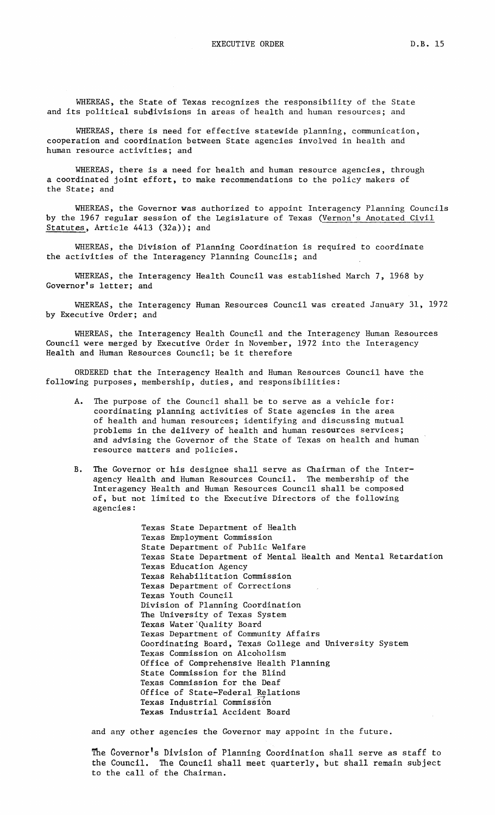WHEREAS, there is need for effective statewide planning, communication, cooperation and coordination between State agencies involved in health and human resource activities; and

WHEREAS, there is a need for health and human resource agencies, through a coordinated joint effort, to make recommendations to the policy makers of the State; and

WHEREAS, the Governor was authorized to appoint Interagency Planning Councils by the 1967 regular session of the Legislature of Texas (Vernon's Anotated Civil Statutes, Article 4413 (32a)); and

WHEREAS, the Division of Planning Coordination is required to coordinate the activities of the Interagency Planning Councils; and

WHEREAS, the Interagency Health Council was established March 7, 1968 by Governor's letter; and

WHEREAS, the Interagency Human Resources Council was created January 31, 1972 by Executive Order; and

WHEREAS, the Interagency Health Council and the Interagency Human Resources Council were merged by Executive Order in November, 1972 into the Interagency Health and Human Resources Council; be it therefore

ORDERED that the Interagency Health and Human Resources Council have the following purposes, membership, duties, and responsibilities:

- A. The purpose of the Council shall be to serve as a vehicle for: coordinating planning activities of State agencies in the area of health and human resources; identifying and discussing mutual problems in the delivery of health and human resources services; and advising the Governor of the State of Texas on health and human resource matters and policies.
- B. The Governor or his designee shall serve as Chairman of the Interagency Health and Human Resources Council. The membership of the Interagency Health and Human Resources Council shall be composed of, but not limited to the Executive Directors of the following agencies:

Texas State Department of Health Texas Employment Commission State Department of Public Welfare Texas State Department of Mental Health and Mental Retardation Texas Education Agency Texas Rehabilitation Commission Texas Department of Corrections Texas Youth Council Division of Planning Coordination The University of Texas System Texas Water "Quality Board Texas Department of Community Affairs Coordinating Board, Texas College and University System Texas Commission on Alcoholism Office of Comprehensive Health Planning State Commission for the Blind Texas Commission for the Deaf Office of State-Federal Relations Texas Industrial Commission Texas Industrial Accident Board

and any other agencies the Governor may appoint in the future.

The Covernor's Division of Planning Coordination shall serve as staff to the Council. The Council shall meet quarterly, but shall remain subject to the call of the Chairman.